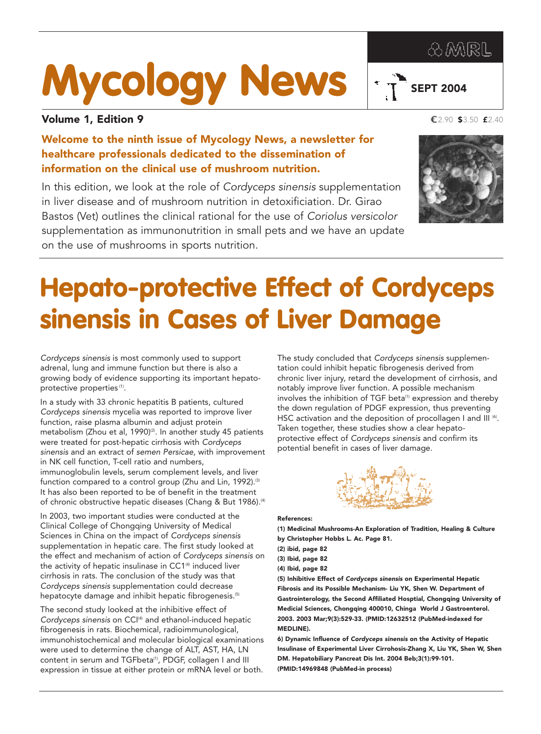## **AMRL**

 $\sqrt{T}$  SEPT 2004



## Volume 1, Edition 9

Welcome to the ninth issue of Mycology News, a newsletter for healthcare professionals dedicated to the dissemination of information on the clinical use of mushroom nutrition.

In this edition, we look at the role of *Cordyceps sinensis* supplementation in liver disease and of mushroom nutrition in detoxificiation. Dr. Girao Bastos (Vet) outlines the clinical rational for the use of *Coriolus versicolor* supplementation as immunonutrition in small pets and we have an update on the use of mushrooms in sports nutrition.

2.90 \$3.50 £2.40



## **Hepato-protective Effect of Cordyceps sinensis in Cases of Liver Damage**

*Cordyceps sinensis* is most commonly used to support adrenal, lung and immune function but there is also a growing body of evidence supporting its important hepatoprotective properties (1).

In a study with 33 chronic hepatitis B patients, cultured *Cordyceps sinensis* mycelia was reported to improve liver function, raise plasma albumin and adjust protein metabolism (Zhou et al, 1990)<sup>(2)</sup>. In another study 45 patients were treated for post-hepatic cirrhosis with *Cordyceps sinensis* and an extract of *semen Persicae*, with improvement in NK cell function, T-cell ratio and numbers, immunoglobulin levels, serum complement levels, and liver function compared to a control group (Zhu and Lin, 1992).<sup>(3)</sup> It has also been reported to be of benefit in the treatment of chronic obstructive hepatic diseases (Chang & But 1986).<sup>(4)</sup>

In 2003, two important studies were conducted at the Clinical College of Chongqing University of Medical Sciences in China on the impact of *Cordyceps sinensis* supplementation in hepatic care. The first study looked at the effect and mechanism of action of *Cordyceps sinensis* on the activity of hepatic insulinase in CC1<sup>(4)</sup> induced liver cirrhosis in rats. The conclusion of the study was that *Cordyceps sinensis* supplementation could decrease hepatocyte damage and inhibit hepatic fibrogenesis.<sup>(5)</sup>

The second study looked at the inhibitive effect of Cordyceps sinensis on CCI<sup>(4)</sup> and ethanol-induced hepatic fibrogenesis in rats. Biochemical, radioimmunological, immunohistochemical and molecular biological examinations were used to determine the change of ALT, AST, HA, LN content in serum and TGFbeta<sup>(1)</sup>, PDGF, collagen I and III expression in tissue at either protein or mRNA level or both.

The study concluded that *Cordyceps sinensis* supplementation could inhibit hepatic fibrogenesis derived from chronic liver injury, retard the development of cirrhosis, and notably improve liver function. A possible mechanism involves the inhibition of TGF beta<sup>(1)</sup> expression and thereby the down regulation of PDGF expression, thus preventing HSC activation and the deposition of procollagen I and III (6). Taken together, these studies show a clear hepatoprotective effect of *Cordyceps sinensis* and confirm its potential benefit in cases of liver damage.



References:

(1) Medicinal Mushrooms-An Exploration of Tradition, Healing & Culture by Christopher Hobbs L. Ac. Page 81.

- (3) Ibid, page 82
- (4) Ibid, page 82

(5) Inhibitive Effect of *Cordyceps sinensis* on Experimental Hepatic Fibrosis and its Possible Mechanism- Liu YK, Shen W. Department of Gastrointerology, the Second Affiliated Hosptial, Chongqing University of Medicial Sciences, Chongqing 400010, Chinga World J Gastroenterol. 2003. 2003 Mar;9(3):529-33. (PMID:12632512 (PubMed-indexed for MEDLINE).

6) Dynamic Influence of *Cordyceps sinensis* on the Activity of Hepatic Insulinase of Experimental Liver Cirrohosis-Zhang X, Liu YK, Shen W, Shen DM. Hepatobiliary Pancreat Dis Int. 2004 Beb;3(1):99-101. (PMID:14969848 (PubMed-in process)

<sup>(2)</sup> ibid, page 82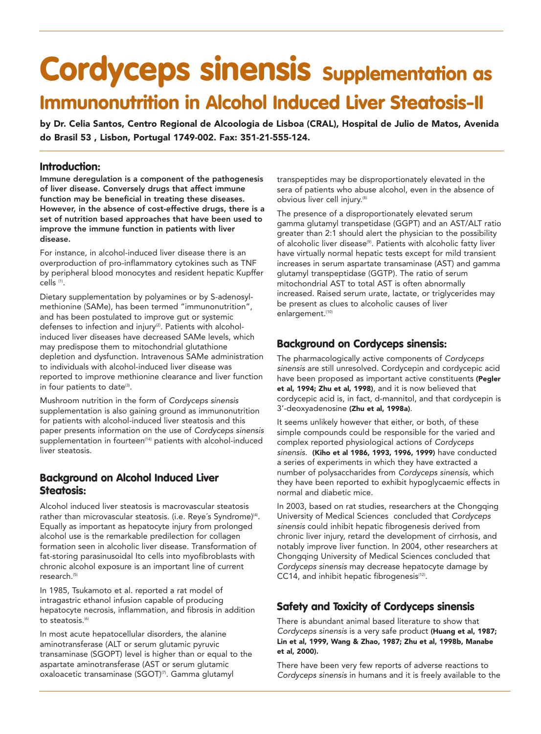## **Cordyceps sinensis Supplementation as Immunonutrition in Alcohol Induced Liver Steatosis-II**

by Dr. Celia Santos, Centro Regional de Alcoologia de Lisboa (CRAL), Hospital de Julio de Matos, Avenida do Brasil 53 , Lisbon, Portugal 1749-002. Fax: 351-21-555-124.

## **Introduction:**

Immune deregulation is a component of the pathogenesis of liver disease. Conversely drugs that affect immune function may be beneficial in treating these diseases. However, in the absence of cost-effective drugs, there is a set of nutrition based approaches that have been used to improve the immune function in patients with liver disease.

For instance, in alcohol-induced liver disease there is an overproduction of pro-inflammatory cytokines such as TNF by peripheral blood monocytes and resident hepatic Kupffer cells (1).

Dietary supplementation by polyamines or by S-adenosylmethionine (SAMe), has been termed "immunonutrition", and has been postulated to improve gut or systemic defenses to infection and injury<sup>(2)</sup>. Patients with alcoholinduced liver diseases have decreased SAMe levels, which may predispose them to mitochondrial glutathione depletion and dysfunction. Intravenous SAMe administration to individuals with alcohol-induced liver disease was reported to improve methionine clearance and liver function in four patients to date<sup>(3)</sup>.

Mushroom nutrition in the form of *Cordyceps sinensis* supplementation is also gaining ground as immunonutrition for patients with alcohol-induced liver steatosis and this paper presents information on the use of *Cordyceps sinensis* supplementation in fourteen<sup>(14)</sup> patients with alcohol-induced liver steatosis.

## **Background on Alcohol Induced Liver Steatosis:**

Alcohol induced liver steatosis is macrovascular steatosis rather than microvascular steatosis. (i.e. Reye's Syndrome)<sup>(4)</sup>. Equally as important as hepatocyte injury from prolonged alcohol use is the remarkable predilection for collagen formation seen in alcoholic liver disease. Transformation of fat-storing parasinusoidal Ito cells into myofibroblasts with chronic alcohol exposure is an important line of current research.(5)

In 1985, Tsukamoto et al. reported a rat model of intragastric ethanol infusion capable of producing hepatocyte necrosis, inflammation, and fibrosis in addition to steatosis<sup>(6)</sup>

In most acute hepatocellular disorders, the alanine aminotransferase (ALT or serum glutamic pyruvic transaminase (SGOPT) level is higher than or equal to the aspartate aminotransferase (AST or serum glutamic oxaloacetic transaminase (SGOT)<sup>(7)</sup>. Gamma glutamyl

transpeptides may be disproportionately elevated in the sera of patients who abuse alcohol, even in the absence of obvious liver cell injury.(8)

The presence of a disproportionately elevated serum gamma glutamyl transpetidase (GGPT) and an AST/ALT ratio greater than 2:1 should alert the physician to the possibility of alcoholic liver disease<sup>(9)</sup>. Patients with alcoholic fatty liver have virtually normal hepatic tests except for mild transient increases in serum aspartate transaminase (AST) and gamma glutamyl transpeptidase (GGTP). The ratio of serum mitochondrial AST to total AST is often abnormally increased. Raised serum urate, lactate, or triglycerides may be present as clues to alcoholic causes of liver enlargement.<sup>(10)</sup>

## **Background on Cordyceps sinensis:**

The pharmacologically active components of *Cordyceps sinensis* are still unresolved. Cordycepin and cordycepic acid have been proposed as important active constituents (Pegler et al, 1994; Zhu et al, 1998), and it is now believed that cordycepic acid is, in fact, d-mannitol, and that cordycepin is 3'-deoxyadenosine (Zhu et al, 1998a).

It seems unlikely however that either, or both, of these simple compounds could be responsible for the varied and complex reported physiological actions of *Cordyceps sinensis*. (Kiho et al 1986, 1993, 1996, 1999) have conducted a series of experiments in which they have extracted a number of polysaccharides from *Cordyceps sinensis*, which they have been reported to exhibit hypoglycaemic effects in normal and diabetic mice.

In 2003, based on rat studies, researchers at the Chongqing University of Medical Sciences concluded that *Cordyceps sinensis* could inhibit hepatic fibrogenesis derived from chronic liver injury, retard the development of cirrhosis, and notably improve liver function. In 2004, other researchers at Chongqing University of Medical Sciences concluded that *Cordyceps sinensis* may decrease hepatocyte damage by  $CC14$ , and inhibit hepatic fibrogenesis $(12)$ .

## **Safety and Toxicity of Cordyceps sinensis**

There is abundant animal based literature to show that *Cordyceps sinensis* is a very safe product (Huang et al, 1987; Lin et al, 1999, Wang & Zhao, 1987; Zhu et al, 1998b, Manabe et al, 2000).

There have been very few reports of adverse reactions to *Cordyceps sinensis* in humans and it is freely available to the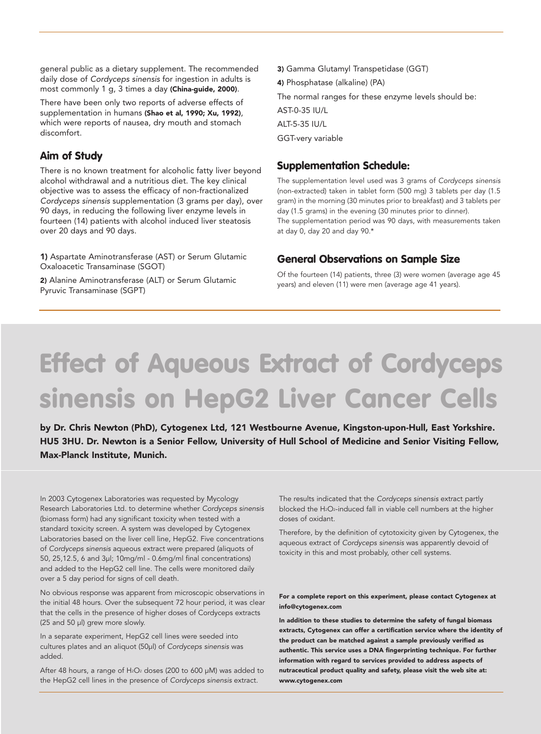general public as a dietary supplement. The recommended daily dose of *Cordyceps sinensis* for ingestion in adults is most commonly 1 g, 3 times a day (China-guide, 2000).

There have been only two reports of adverse effects of supplementation in humans (Shao et al, 1990; Xu, 1992), which were reports of nausea, dry mouth and stomach discomfort.

### **Aim of Study**

There is no known treatment for alcoholic fatty liver beyond alcohol withdrawal and a nutritious diet. The key clinical objective was to assess the efficacy of non-fractionalized *Cordyceps sinensis* supplementation (3 grams per day), over 90 days, in reducing the following liver enzyme levels in fourteen (14) patients with alcohol induced liver steatosis over 20 days and 90 days.

1) Aspartate Aminotransferase (AST) or Serum Glutamic Oxaloacetic Transaminase (SGOT)

2) Alanine Aminotransferase (ALT) or Serum Glutamic Pyruvic Transaminase (SGPT)

3) Gamma Glutamyl Transpetidase (GGT) 4) Phosphatase (alkaline) (PA) The normal ranges for these enzyme levels should be: AST-0-35 IU/L ALT-5-35 IU/L GGT-very variable

### **Supplementation Schedule:**

The supplementation level used was 3 grams of *Cordyceps sinensis* (non-extracted) taken in tablet form (500 mg) 3 tablets per day (1.5 gram) in the morning (30 minutes prior to breakfast) and 3 tablets per day (1.5 grams) in the evening (30 minutes prior to dinner). The supplementation period was 90 days, with measurements taken at day 0, day 20 and day 90.\*

## **General Observations on Sample Size**

Of the fourteen (14) patients, three (3) were women (average age 45 years) and eleven (11) were men (average age 41 years).

# **Effect of Aqueous Extract of Cordyceps sinensis on HepG2 Liver Cancer Cells**

by Dr. Chris Newton (PhD), Cytogenex Ltd, 121 Westbourne Avenue, Kingston-upon-Hull, East Yorkshire. HU5 3HU. Dr. Newton is a Senior Fellow, University of Hull School of Medicine and Senior Visiting Fellow, Max-Planck Institute, Munich.

In 2003 Cytogenex Laboratories was requested by Mycology Research Laboratories Ltd. to determine whether *Cordyceps sinensis* (biomass form) had any significant toxicity when tested with a standard toxicity screen. A system was developed by Cytogenex Laboratories based on the liver cell line, HepG2. Five concentrations of *Cordyceps sinensis* aqueous extract were prepared (aliquots of 50, 25,12.5, 6 and 3µl; 10mg/ml - 0.6mg/ml final concentrations) and added to the HepG2 cell line. The cells were monitored daily over a 5 day period for signs of cell death.

No obvious response was apparent from microscopic observations in the initial 48 hours. Over the subsequent 72 hour period, it was clear that the cells in the presence of higher doses of Cordyceps extracts (25 and 50 µl) grew more slowly.

In a separate experiment, HepG2 cell lines were seeded into cultures plates and an aliquot (50µl) of *Cordyceps sinensis* was added.

After 48 hours, a range of  $H_2O_2$  doses (200 to 600  $\mu$ M) was added to the HepG2 cell lines in the presence of *Cordyceps sinensis* extract.

The results indicated that the *Cordyceps sinensis* extract partly blocked the H<sub>2</sub>O<sub>2</sub>-induced fall in viable cell numbers at the higher doses of oxidant.

Therefore, by the definition of cytotoxicity given by Cytogenex, the aqueous extract of *Cordyceps sinensis* was apparently devoid of toxicity in this and most probably, other cell systems.

#### For a complete report on this experiment, please contact Cytogenex at info@cytogenex.com

In addition to these studies to determine the safety of fungal biomass extracts, Cytogenex can offer a certification service where the identity of the product can be matched against a sample previously verified as authentic. This service uses a DNA fingerprinting technique. For further information with regard to services provided to address aspects of nutraceutical product quality and safety, please visit the web site at: www.cytogenex.com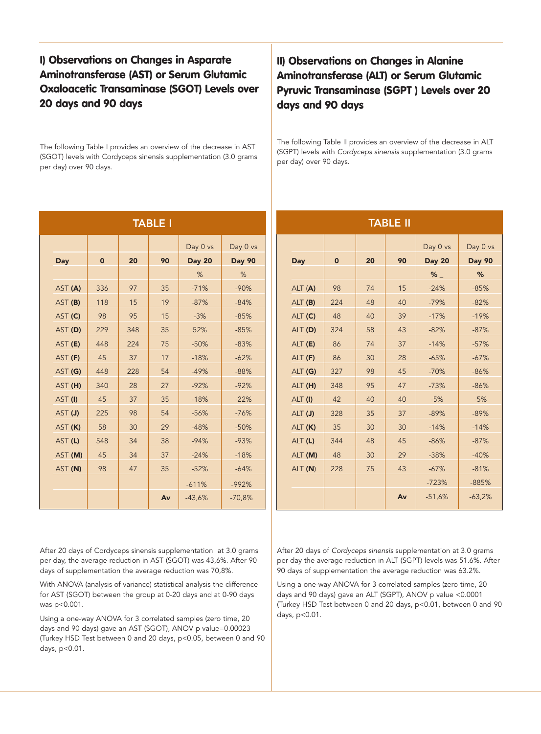## **I) Observations on Changes in Asparate Aminotransferase (AST) or Serum Glutamic Oxaloacetic Transaminase (SGOT) Levels over 20 days and 90 days**

The following Table I provides an overview of the decrease in AST (SGOT) levels with Cordyceps sinensis supplementation (3.0 grams per day) over 90 days.

| Day 0 vs<br>Day 0 vs<br>$\mathbf 0$<br>20<br>90<br><b>Day 20</b><br><b>Day 90</b><br>$\mathbf 0$<br>20<br>90<br>Day<br>Day<br>%<br>%<br>98<br>336<br>97<br>35<br>$-71%$<br>15<br>AST (A)<br>$-90%$<br>ALT (A)<br>74<br>AST (B)<br>118<br>15<br>19<br>$-87%$<br>$-84%$<br>224<br>48<br>40<br>ALT (B)<br>AST (C)<br>98<br>95<br>$-3%$<br>48<br>39<br>15<br>$-85%$<br>ALT (C)<br>40<br>229<br>52%<br>43<br>AST (D)<br>348<br>35<br>$-85%$<br>ALT (D)<br>324<br>58<br>448<br>75<br>$-50%$<br>$-83%$<br>37<br>AST (E)<br>224<br>ALT (E)<br>86<br>74<br>AST (F)<br>45<br>37<br>17<br>$-18%$<br>$-62%$<br>86<br>28<br>ALT(F)<br>30<br>448<br>54<br>$-49%$<br>$-88%$<br>AST (G)<br>228<br>45<br>ALT (G)<br>327<br>98<br>AST (H)<br>340<br>28<br>27<br>$-92%$<br>$-92%$<br>ALT (H)<br>348<br>95<br>47<br>AST (I)<br>45<br>37<br>35<br>$-18%$<br>$-22%$<br>42<br>40<br>40<br>ALT (I)<br>98<br>AST (J)<br>225<br>54<br>$-56%$<br>$-76%$<br>35<br>37<br>ALT (J)<br>328<br>58<br>30<br>29<br>$-48%$<br>35<br>30<br>AST (K)<br>$-50%$<br>ALT (K)<br>30<br>38<br>AST (L)<br>548<br>34<br>$-94%$<br>$-93%$<br>ALT (L)<br>344<br>48<br>45<br>45<br>34<br>37<br>$-24%$<br>$-18%$<br>AST (M)<br>48<br>29<br>ALT (M)<br>30<br>98<br>35<br>$-52%$<br>43<br>AST (N)<br>47<br>$-64%$<br>228<br>75<br>ALT (N)<br>$-611%$<br>$-992%$<br>Av<br>Av<br>$-43,6%$<br>$-70,8%$ | <b>TABLE I</b> |  |  |  |  |  |  |  | <b>TABLE II</b> |
|-------------------------------------------------------------------------------------------------------------------------------------------------------------------------------------------------------------------------------------------------------------------------------------------------------------------------------------------------------------------------------------------------------------------------------------------------------------------------------------------------------------------------------------------------------------------------------------------------------------------------------------------------------------------------------------------------------------------------------------------------------------------------------------------------------------------------------------------------------------------------------------------------------------------------------------------------------------------------------------------------------------------------------------------------------------------------------------------------------------------------------------------------------------------------------------------------------------------------------------------------------------------------------------------------------------------------------------------------|----------------|--|--|--|--|--|--|--|-----------------|
|                                                                                                                                                                                                                                                                                                                                                                                                                                                                                                                                                                                                                                                                                                                                                                                                                                                                                                                                                                                                                                                                                                                                                                                                                                                                                                                                                 |                |  |  |  |  |  |  |  |                 |
|                                                                                                                                                                                                                                                                                                                                                                                                                                                                                                                                                                                                                                                                                                                                                                                                                                                                                                                                                                                                                                                                                                                                                                                                                                                                                                                                                 |                |  |  |  |  |  |  |  |                 |
|                                                                                                                                                                                                                                                                                                                                                                                                                                                                                                                                                                                                                                                                                                                                                                                                                                                                                                                                                                                                                                                                                                                                                                                                                                                                                                                                                 |                |  |  |  |  |  |  |  |                 |
|                                                                                                                                                                                                                                                                                                                                                                                                                                                                                                                                                                                                                                                                                                                                                                                                                                                                                                                                                                                                                                                                                                                                                                                                                                                                                                                                                 |                |  |  |  |  |  |  |  |                 |
|                                                                                                                                                                                                                                                                                                                                                                                                                                                                                                                                                                                                                                                                                                                                                                                                                                                                                                                                                                                                                                                                                                                                                                                                                                                                                                                                                 |                |  |  |  |  |  |  |  |                 |
|                                                                                                                                                                                                                                                                                                                                                                                                                                                                                                                                                                                                                                                                                                                                                                                                                                                                                                                                                                                                                                                                                                                                                                                                                                                                                                                                                 |                |  |  |  |  |  |  |  |                 |
|                                                                                                                                                                                                                                                                                                                                                                                                                                                                                                                                                                                                                                                                                                                                                                                                                                                                                                                                                                                                                                                                                                                                                                                                                                                                                                                                                 |                |  |  |  |  |  |  |  |                 |
|                                                                                                                                                                                                                                                                                                                                                                                                                                                                                                                                                                                                                                                                                                                                                                                                                                                                                                                                                                                                                                                                                                                                                                                                                                                                                                                                                 |                |  |  |  |  |  |  |  |                 |
|                                                                                                                                                                                                                                                                                                                                                                                                                                                                                                                                                                                                                                                                                                                                                                                                                                                                                                                                                                                                                                                                                                                                                                                                                                                                                                                                                 |                |  |  |  |  |  |  |  |                 |
|                                                                                                                                                                                                                                                                                                                                                                                                                                                                                                                                                                                                                                                                                                                                                                                                                                                                                                                                                                                                                                                                                                                                                                                                                                                                                                                                                 |                |  |  |  |  |  |  |  |                 |
|                                                                                                                                                                                                                                                                                                                                                                                                                                                                                                                                                                                                                                                                                                                                                                                                                                                                                                                                                                                                                                                                                                                                                                                                                                                                                                                                                 |                |  |  |  |  |  |  |  |                 |
|                                                                                                                                                                                                                                                                                                                                                                                                                                                                                                                                                                                                                                                                                                                                                                                                                                                                                                                                                                                                                                                                                                                                                                                                                                                                                                                                                 |                |  |  |  |  |  |  |  |                 |
|                                                                                                                                                                                                                                                                                                                                                                                                                                                                                                                                                                                                                                                                                                                                                                                                                                                                                                                                                                                                                                                                                                                                                                                                                                                                                                                                                 |                |  |  |  |  |  |  |  |                 |
|                                                                                                                                                                                                                                                                                                                                                                                                                                                                                                                                                                                                                                                                                                                                                                                                                                                                                                                                                                                                                                                                                                                                                                                                                                                                                                                                                 |                |  |  |  |  |  |  |  |                 |
|                                                                                                                                                                                                                                                                                                                                                                                                                                                                                                                                                                                                                                                                                                                                                                                                                                                                                                                                                                                                                                                                                                                                                                                                                                                                                                                                                 |                |  |  |  |  |  |  |  |                 |
|                                                                                                                                                                                                                                                                                                                                                                                                                                                                                                                                                                                                                                                                                                                                                                                                                                                                                                                                                                                                                                                                                                                                                                                                                                                                                                                                                 |                |  |  |  |  |  |  |  |                 |
|                                                                                                                                                                                                                                                                                                                                                                                                                                                                                                                                                                                                                                                                                                                                                                                                                                                                                                                                                                                                                                                                                                                                                                                                                                                                                                                                                 |                |  |  |  |  |  |  |  |                 |
|                                                                                                                                                                                                                                                                                                                                                                                                                                                                                                                                                                                                                                                                                                                                                                                                                                                                                                                                                                                                                                                                                                                                                                                                                                                                                                                                                 |                |  |  |  |  |  |  |  |                 |
|                                                                                                                                                                                                                                                                                                                                                                                                                                                                                                                                                                                                                                                                                                                                                                                                                                                                                                                                                                                                                                                                                                                                                                                                                                                                                                                                                 |                |  |  |  |  |  |  |  |                 |

## **II) Observations on Changes in Alanine Aminotransferase (ALT) or Serum Glutamic Pyruvic Transaminase (SGPT ) Levels over 20 days and 90 days**

The following Table II provides an overview of the decrease in ALT (SGPT) levels with *Cordyceps sinensis* supplementation (3.0 grams per day) over 90 days.

| <b>TABLE II</b> |              |    |    |               |               |  |  |
|-----------------|--------------|----|----|---------------|---------------|--|--|
|                 |              |    |    | Day 0 vs      | Day 0 vs      |  |  |
| <b>Day</b>      | $\mathbf{o}$ | 20 | 90 | <b>Day 20</b> | <b>Day 90</b> |  |  |
|                 |              |    |    | %             | %             |  |  |
| ALT (A)         | 98           | 74 | 15 | $-24%$        | $-85%$        |  |  |
| ALT (B)         | 224          | 48 | 40 | $-79%$        | $-82%$        |  |  |
| ALT (C)         | 48           | 40 | 39 | $-17%$        | $-19%$        |  |  |
| ALT (D)         | 324          | 58 | 43 | $-82%$        | $-87%$        |  |  |
| ALT (E)         | 86           | 74 | 37 | $-14%$        | $-57%$        |  |  |
| ALT (F)         | 86           | 30 | 28 | $-65%$        | $-67%$        |  |  |
| ALT (G)         | 327          | 98 | 45 | $-70%$        | $-86%$        |  |  |
| ALT (H)         | 348          | 95 | 47 | $-73%$        | $-86%$        |  |  |
| ALT (I)         | 42           | 40 | 40 | $-5%$         | $-5%$         |  |  |
| ALT (J)         | 328          | 35 | 37 | $-89%$        | $-89%$        |  |  |
| ALT (K)         | 35           | 30 | 30 | $-14%$        | $-14%$        |  |  |
| ALT (L)         | 344          | 48 | 45 | $-86%$        | $-87%$        |  |  |
| ALT (M)         | 48           | 30 | 29 | $-38%$        | $-40%$        |  |  |
| ALT (N)         | 228          | 75 | 43 | $-67%$        | $-81%$        |  |  |
|                 |              |    |    | $-723%$       | $-885%$       |  |  |
|                 |              |    | Av | $-51,6%$      | $-63,2%$      |  |  |

After 20 days of Cordyceps sinensis supplementation at 3.0 grams per day, the average reduction in AST (SGOT) was 43,6%. After 90 days of supplementation the average reduction was 70,8%.

With ANOVA (analysis of variance) statistical analysis the difference for AST (SGOT) between the group at 0-20 days and at 0-90 days was p<0.001.

Using a one-way ANOVA for 3 correlated samples (zero time, 20 days and 90 days) gave an AST (SGOT), ANOV p value=0.00023 (Turkey HSD Test between 0 and 20 days, p<0.05, between 0 and 90 days, p<0.01.

After 20 days of *Cordyceps sinensis* supplementation at 3.0 grams per day the average reduction in ALT (SGPT) levels was 51.6%. After 90 days of supplementation the average reduction was 63.2%.

Using a one-way ANOVA for 3 correlated samples (zero time, 20 days and 90 days) gave an ALT (SGPT), ANOV p value <0.0001 (Turkey HSD Test between 0 and 20 days, p<0.01, between 0 and 90 days, p<0.01.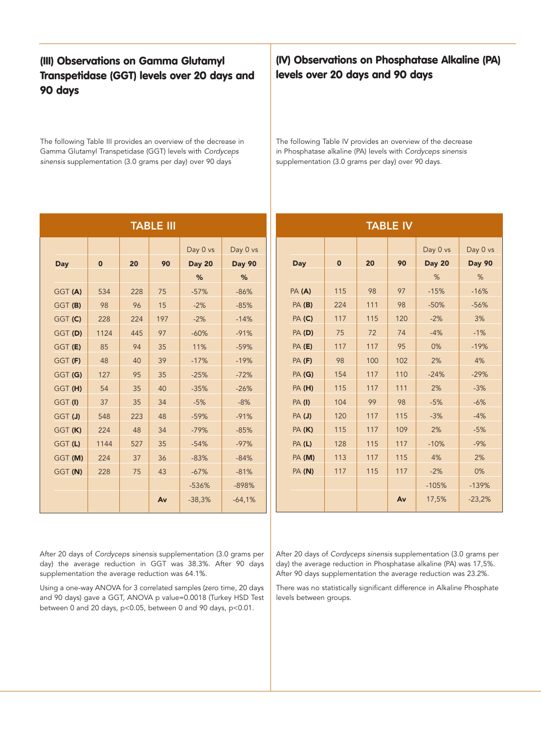## **(III) Observations on Gamma Glutamyl Transpetidase (GGT) levels over 20 days and 90 days**

The following Table III provides an overview of the decrease in Gamma Glutamyl Transpetidase (GGT) levels with *Cordyceps sinensis* supplementation (3.0 grams per day) over 90 days.

|         |             |     | <b>TABLE III</b> |               |               |               |             |     | <b>TABLE IV</b> |
|---------|-------------|-----|------------------|---------------|---------------|---------------|-------------|-----|-----------------|
|         |             |     |                  | Day 0 vs      | Day 0 vs      |               |             |     |                 |
| Day     | $\mathbf 0$ | 20  | 90               | <b>Day 20</b> | <b>Day 90</b> | Day           | $\mathbf 0$ | 20  | 90              |
|         |             |     |                  | %             | %             |               |             |     |                 |
| GGT (A) | 534         | 228 | 75               | $-57%$        | $-86%$        | PA (A)        | 115         | 98  | 97              |
| GGT (B) | 98          | 96  | 15               | $-2%$         | $-85%$        | PA(B)         | 224         | 111 | 98              |
| GGT (C) | 228         | 224 | 197              | $-2%$         | $-14%$        | PA (C)        | 117         | 115 | 120             |
| GGT (D) | 1124        | 445 | 97               | $-60%$        | $-91%$        | <b>PA (D)</b> | 75          | 72  | 74              |
| GGT (E) | 85          | 94  | 35               | 11%           | $-59%$        | PA (E)        | 117         | 117 | 95              |
| GGT (F) | 48          | 40  | 39               | $-17%$        | $-19%$        | PA(F)         | 98          | 100 | 102             |
| GGT (G) | 127         | 95  | 35               | $-25%$        | $-72%$        | PA (G)        | 154         | 117 | 110             |
| GGT (H) | 54          | 35  | 40               | $-35%$        | $-26%$        | PA (H)        | 115         | 117 | 111             |
| GGT(I)  | 37          | 35  | 34               | $-5%$         | $-8%$         | <b>PA(I)</b>  | 104         | 99  | 98              |
| GGT (J) | 548         | 223 | 48               | $-59%$        | $-91%$        | PA(J)         | 120         | 117 | 115             |
| GGT (K) | 224         | 48  | 34               | $-79%$        | $-85%$        | <b>PA (K)</b> | 115         | 117 | 109             |
| GGT (L) | 1144        | 527 | 35               | $-54%$        | $-97%$        | PA(L)         | 128         | 115 | 117             |
| GGT (M) | 224         | 37  | 36               | $-83%$        | $-84%$        | PA (M)        | 113         | 117 | 115             |
| GGT (N) | 228         | 75  | 43               | $-67%$        | $-81%$        | PA (N)        | 117         | 115 | 117             |
|         |             |     |                  | $-536%$       | $-898%$       |               |             |     |                 |
|         |             |     | Av               | $-38,3%$      | $-64,1%$      |               |             |     | Av              |

## **(IV) Observations on Phosphatase Alkaline (PA) levels over 20 days and 90 days**

The following Table IV provides an overview of the decrease in Phosphatase alkaline (PA) levels with *Cordyceps sinensis* supplementation (3.0 grams per day) over 90 days.

| <b>TABLE IV</b> |             |     |     |               |               |  |
|-----------------|-------------|-----|-----|---------------|---------------|--|
|                 |             |     |     | Day 0 vs      | Day 0 vs      |  |
| <b>Day</b>      | $\mathbf 0$ | 20  | 90  | <b>Day 20</b> | <b>Day 90</b> |  |
|                 |             |     |     | %             | %             |  |
| PA (A)          | 115         | 98  | 97  | $-15%$        | $-16%$        |  |
| PA (B)          | 224         | 111 | 98  | $-50%$        | $-56%$        |  |
| <b>PA (C)</b>   | 117         | 115 | 120 | $-2%$         | 3%            |  |
| PA (D)          | 75          | 72  | 74  | $-4%$         | $-1%$         |  |
| <b>PA (E)</b>   | 117         | 117 | 95  | 0%            | $-19%$        |  |
| <b>PA (F)</b>   | 98          | 100 | 102 | 2%            | 4%            |  |
| <b>PA (G)</b>   | 154         | 117 | 110 | $-24%$        | $-29%$        |  |
| PA(H)           | 115         | 117 | 111 | 2%            | $-3%$         |  |
| <b>PA (I)</b>   | 104         | 99  | 98  | $-5%$         | $-6%$         |  |
| PA(J)           | 120         | 117 | 115 | $-3%$         | $-4%$         |  |
| PA (K)          | 115         | 117 | 109 | 2%            | $-5%$         |  |
| PA(L)           | 128         | 115 | 117 | $-10%$        | $-9%$         |  |
| PA (M)          | 113         | 117 | 115 | 4%            | 2%            |  |
| PA (N)          | 117         | 115 | 117 | $-2%$         | 0%            |  |
|                 |             |     |     | $-105%$       | $-139%$       |  |
|                 |             |     | Av  | 17,5%         | $-23,2%$      |  |

After 20 days of *Cordyceps sinensis* supplementation (3.0 grams per day) the average reduction in GGT was 38.3%. After 90 days supplementation the average reduction was 64.1%.

Using a one-way ANOVA for 3 correlated samples (zero time, 20 days and 90 days) gave a GGT, ANOVA p value=0.0018 (Turkey HSD Test between 0 and 20 days, p<0.05, between 0 and 90 days, p<0.01.

After 20 days of *Cordyceps sinensis* supplementation (3.0 grams per day) the average reduction in Phosphatase alkaline (PA) was 17,5%. After 90 days supplementation the average reduction was 23.2%.

There was no statistically significant difference in Alkaline Phosphate levels between groups.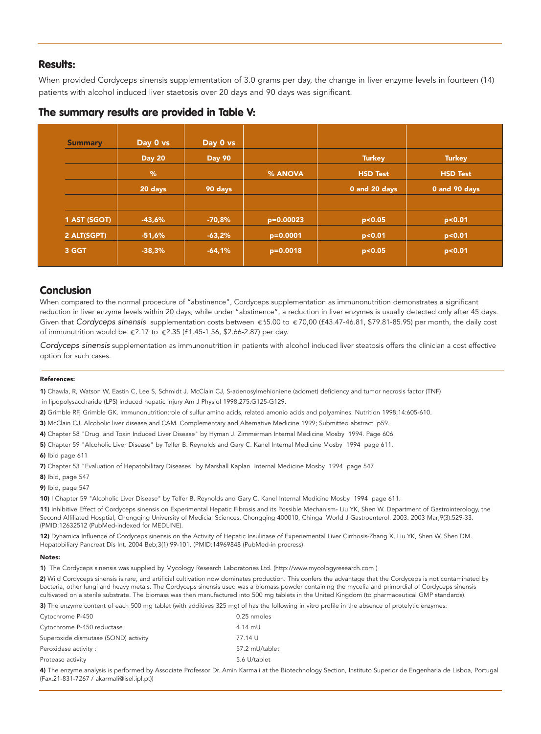### **Results:**

When provided Cordyceps sinensis supplementation of 3.0 grams per day, the change in liver enzyme levels in fourteen (14) patients with alcohol induced liver staetosis over 20 days and 90 days was significant.

| <b>Summary</b> | Day 0 vs      | Day 0 vs      |             |                 |                 |
|----------------|---------------|---------------|-------------|-----------------|-----------------|
|                | <b>Day 20</b> | <b>Day 90</b> |             | Turkey          | <b>Turkey</b>   |
|                | %             |               | % ANOVA     | <b>HSD Test</b> | <b>HSD Test</b> |
|                | 20 days       | 90 days       |             | 0 and 20 days   | 0 and 90 days   |
| 1 AST (SGOT)   | $-43,6%$      | $-70,8%$      | $p=0.00023$ | p < 0.05        | p < 0.01        |
| 2 ALT(SGPT)    | $-51,6%$      | $-63,2%$      | $p=0.0001$  | p < 0.01        | p < 0.01        |
| 3 GGT          | $-38,3%$      | $-64,1%$      | $p=0.0018$  | p < 0.05        | p < 0.01        |

### **The summary results are provided in Table V:**

### **Conclusion**

When compared to the normal procedure of "abstinence", Cordyceps supplementation as immunonutrition demonstrates a significant reduction in liver enzyme levels within 20 days, while under "abstinence", a reduction in liver enzymes is usually detected only after 45 days. Given that *Cordyceps sinensis* supplementation costs between 655.00 to 670,00 (£43.47-46.81, \$79.81-85.95) per month, the daily cost of immunutrition would be 2.17 to 2.35 (£1.45-1.56, \$2.66-2.87) per day.

*Cordyceps sinensis* supplementation as immunonutrition in patients with alcohol induced liver steatosis offers the clinician a cost effective option for such cases.

#### References:

1) Chawla, R, Watson W, Eastin C, Lee S, Schmidt J. McClain CJ, S-adenosylmehioniene (adomet) deficiency and tumor necrosis factor (TNF)

in lipopolysaccharide (LPS) induced hepatic injury Am J Physiol 1998;275:G125-G129.

2) Grimble RF, Grimble GK. Immunonutrition:role of sulfur amino acids, related amonio acids and polyamines. Nutrition 1998;14:605-610.

3) McClain CJ. Alcoholic liver disease and CAM. Complementary and Alternative Medicine 1999; Submitted abstract. p59.

4) Chapter 58 "Drug and Toxin Induced Liver Disease" by Hyman J. Zimmerman Internal Medicine Mosby 1994. Page 606

5) Chapter 59 "Alcoholic Liver Disease" by Telfer B. Reynolds and Gary C. Kanel Internal Medicine Mosby 1994 page 611.

6) Ibid page 611

7) Chapter 53 "Evaluation of Hepatobilitary Diseases" by Marshall Kaplan Internal Medicine Mosby 1994 page 547

8) Ibid, page 547

9) Ibid, page 547

10) I Chapter 59 "Alcoholic Liver Disease" by Telfer B. Reynolds and Gary C. Kanel Internal Medicine Mosby 1994 page 611.

11) Inhibitive Effect of Cordyceps sinensis on Experimental Hepatic Fibrosis and its Possible Mechanism- Liu YK, Shen W. Department of Gastrointerology, the Second Affiliated Hosptial, Chongqing University of Medicial Sciences, Chongqing 400010, Chinga World J Gastroenterol. 2003. 2003 Mar;9(3):529-33. (PMID:12632512 (PubMed-indexed for MEDLINE).

12) Dynamica Influence of Cordyceps sinensis on the Activity of Hepatic Insulinase of Experiemental Liver Cirrhosis-Zhang X, Liu YK, Shen W, Shen DM. Hepatobiliary Pancreat Dis Int. 2004 Beb;3(1):99-101. (PMID:14969848 (PubMed-in procress)

#### Notes:

1) The Cordyceps sinensis was supplied by Mycology Research Laboratories Ltd. (http://www.mycologyresearch.com )

2) Wild Cordyceps sinensis is rare, and artificial cultivation now dominates production. This confers the advantage that the Cordyceps is not contaminated by bacteria, other fungi and heavy metals. The Cordyceps sinensis used was a biomass powder containing the mycelia and primordial of Cordyceps sinensis cultivated on a sterile substrate. The biomass was then manufactured into 500 mg tablets in the United Kingdom (to pharmaceutical GMP standards).

3) The enzyme content of each 500 mg tablet (with additives 325 mg) of has the following in vitro profile in the absence of protelytic enzymes:

| Cytochrome P-450                     | 0.25 nmoles    |
|--------------------------------------|----------------|
| Cytochrome P-450 reductase           | $4.14$ mU      |
| Superoxide dismutase (SOND) activity | 77.14 U        |
| Peroxidase activity:                 | 57.2 mU/tablet |
| Protease activity                    | 5.6 U/tablet   |

4) The enzyme analysis is performed by Associate Professor Dr. Amin Karmali at the Biotechnology Section, Instituto Superior de Engenharia de Lisboa, Portugal (Fax:21-831-7267 / akarmali@isel.ipl.pt))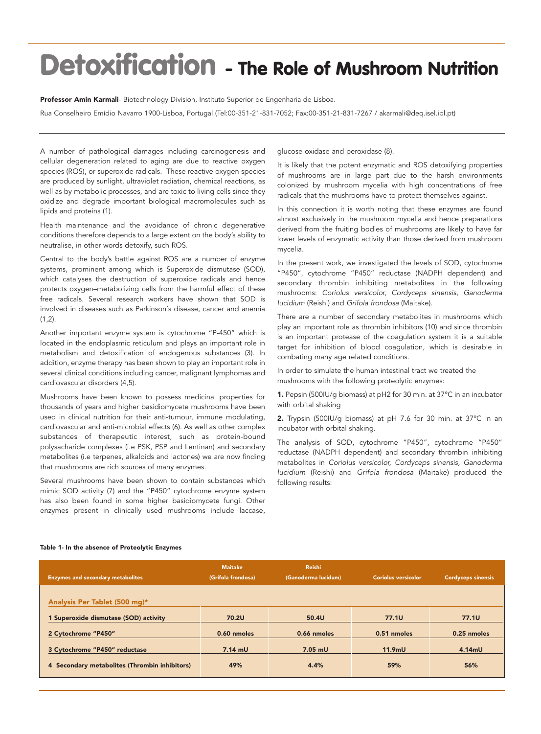## **Detoxification - The Role of Mushroom Nutrition**

Professor Amin Karmali- Biotechnology Division, Instituto Superior de Engenharia de Lisboa. Rua Conselheiro Emídio Navarro 1900-Lisboa, Portugal (Tel:00-351-21-831-7052; Fax:00-351-21-831-7267 / akarmali@deq.isel.ipl.pt)

A number of pathological damages including carcinogenesis and cellular degeneration related to aging are due to reactive oxygen species (ROS), or superoxide radicals. These reactive oxygen species are produced by sunlight, ultraviolet radiation, chemical reactions, as well as by metabolic processes, and are toxic to living cells since they oxidize and degrade important biological macromolecules such as lipids and proteins (1).

Health maintenance and the avoidance of chronic degenerative conditions therefore depends to a large extent on the body's ability to neutralise, in other words detoxify, such ROS.

Central to the body's battle against ROS are a number of enzyme systems, prominent among which is Superoxide dismutase (SOD), which catalyses the destruction of superoxide radicals and hence protects oxygen–metabolizing cells from the harmful effect of these free radicals. Several research workers have shown that SOD is involved in diseases such as Parkinson´s disease, cancer and anemia  $(1,2)$ .

Another important enzyme system is cytochrome "P-450" which is located in the endoplasmic reticulum and plays an important role in metabolism and detoxification of endogenous substances (3). In addition, enzyme therapy has been shown to play an important role in several clinical conditions including cancer, malignant lymphomas and cardiovascular disorders (4,5).

Mushrooms have been known to possess medicinal properties for thousands of years and higher basidiomycete mushrooms have been used in clinical nutrition for their anti-tumour, immune modulating, cardiovascular and anti-microbial effects (6). As well as other complex substances of therapeutic interest, such as protein-bound polysacharide complexes (i.e PSK, PSP and Lentinan) and secondary metabolites (i.e terpenes, alkaloids and lactones) we are now finding that mushrooms are rich sources of many enzymes.

Several mushrooms have been shown to contain substances which mimic SOD activity (7) and the "P450" cytochrome enzyme system has also been found in some higher basidiomycete fungi. Other enzymes present in clinically used mushrooms include laccase,

glucose oxidase and peroxidase (8).

It is likely that the potent enzymatic and ROS detoxifying properties of mushrooms are in large part due to the harsh environments colonized by mushroom mycelia with high concentrations of free radicals that the mushrooms have to protect themselves against.

In this connection it is worth noting that these enzymes are found almost exclusively in the mushroom mycelia and hence preparations derived from the fruiting bodies of mushrooms are likely to have far lower levels of enzymatic activity than those derived from mushroom mycelia.

In the present work, we investigated the levels of SOD, cytochrome "P450", cytochrome "P450" reductase (NADPH dependent) and secondary thrombin inhibiting metabolites in the following mushrooms: *Coriolus versicolo*r, *Cordyceps sinensis, Ganoderma lucidium* (Reishi) and *Grifola frondosa* (Maitake).

There are a number of secondary metabolites in mushrooms which play an important role as thrombin inhibitors (10) and since thrombin is an important protease of the coagulation system it is a suitable target for inhibition of blood coagulation, which is desirable in combating many age related conditions.

In order to simulate the human intestinal tract we treated the mushrooms with the following proteolytic enzymes:

1. Pepsin (500IU/g biomass) at pH2 for 30 min. at 37ºC in an incubator with orbital shaking

2. Trypsin (500IU/g biomass) at pH 7.6 for 30 min. at 37ºC in an incubator with orbital shaking.

The analysis of SOD, cytochrome "P450", cytochrome "P450" reductase (NADPH dependent) and secondary thrombin inhibiting metabolites in *Coriolus versicolor, Cordyceps sinensis, Ganoderma lucidium* (Reishi) and *Grifola frondosa* (Maitake) produced the following results:

#### Table 1- In the absence of Proteolytic Enzymes

| <b>Enzymes and secondary metabolites</b>      | <b>Maitake</b><br>(Grifola frondosa) | <b>Reishi</b><br>(Ganoderma lucidum) | <b>Coriolus versicolor</b> | <b>Cordyceps sinensis</b> |
|-----------------------------------------------|--------------------------------------|--------------------------------------|----------------------------|---------------------------|
| Analysis Per Tablet (500 mg)*                 |                                      |                                      |                            |                           |
| 1 Superoxide dismutase (SOD) activity         | 70.2U                                | 50.4U                                | <b>77.1U</b>               | <b>77.1U</b>              |
| 2 Cytochrome "P450"                           | 0.60 nmoles                          | 0.66 nmoles                          | 0.51 nmoles                | 0.25 nmoles               |
| 3 Cytochrome "P450" reductase                 | $7.14$ mU                            | $7.05$ mU                            | $11.9m$ U                  | 4.14mU                    |
| 4 Secondary metabolites (Thrombin inhibitors) | 49%                                  | 4.4%                                 | 59%                        | 56%                       |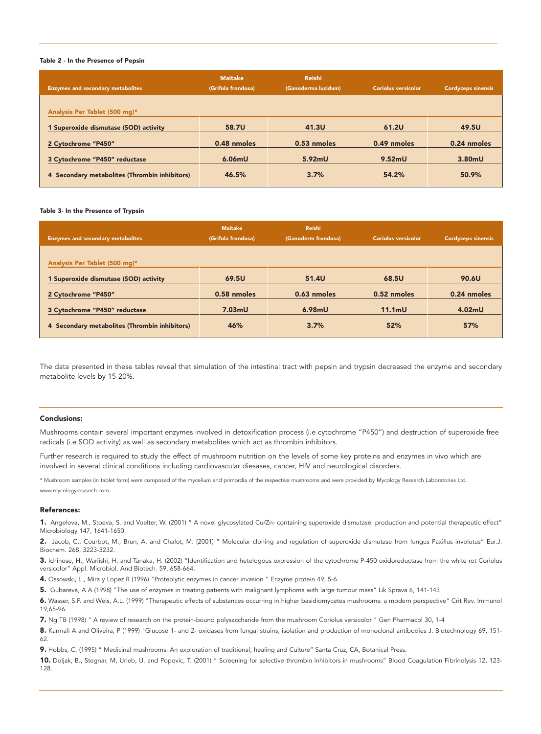#### Table 2 - In the Presence of Pepsin

| <b>Enzymes and secondary metabolites</b>      | <b>Maitake</b><br>(Grifola frondosa) | <b>Reishi</b><br>(Ganoderma lucidum) | <b>Coriolus versicolor</b> | <b>Cordyceps sinensis</b> |
|-----------------------------------------------|--------------------------------------|--------------------------------------|----------------------------|---------------------------|
| Analysis Per Tablet (500 mg)*                 |                                      |                                      |                            |                           |
| 1 Superoxide dismutase (SOD) activity         | 58.7U                                | 41.3U                                | <b>61.2U</b>               | 49.5U                     |
| 2 Cytochrome "P450"                           | 0.48 nmoles                          | 0.53 nmoles                          | 0.49 nmoles                | 0.24 nmoles               |
| 3 Cytochrome "P450" reductase                 | 6.06mU                               | 5.92mU                               | 9.52mU                     | 3.80mU                    |
| 4 Secondary metabolites (Thrombin inhibitors) | 46.5%                                | 3.7%                                 | 54.2%                      | 50.9%                     |

#### Table 3- In the Presence of Trypsin

| <b>Enzymes and secondary metabolites</b>      | <b>Maitake</b><br>(Grifola frondosa) | <b>Reishi</b><br>(Ganoderm frondosa) | <b>Coriolus versicolor</b> | <b>Cordyceps sinensis</b> |
|-----------------------------------------------|--------------------------------------|--------------------------------------|----------------------------|---------------------------|
| Analysis Per Tablet (500 mg)*                 |                                      |                                      |                            |                           |
| 1 Superoxide dismutase (SOD) activity         | 69.5U                                | 51.4U                                | 68.5U                      | 90.6U                     |
| 2 Cytochrome "P450"                           | 0.58 nmoles                          | 0.63 nmoles                          | 0.52 nmoles                | 0.24 nmoles               |
| 3 Cytochrome "P450" reductase                 | 7.03 <sub>m</sub> U                  | 6.98mU                               | $11.1m$ U                  | 4.02mU                    |
| 4 Secondary metabolites (Thrombin inhibitors) | 46%                                  | 3.7%                                 | 52%                        | 57%                       |

The data presented in these tables reveal that simulation of the intestinal tract with pepsin and trypsin decreased the enzyme and secondary metabolite levels by 15-20%.

#### Conclusions:

Mushrooms contain several important enzymes involved in detoxification process (i.e cytochrome "P450") and destruction of superoxide free radicals (i.e SOD activity) as well as secondary metabolites which act as thrombin inhibitors.

Further research is required to study the effect of mushroom nutrition on the levels of some key proteins and enzymes in vivo which are involved in several clinical conditions including cardiovascular diesases, cancer, HIV and neurological disorders.

\* Mushroom samples (in tablet form) were composed of the mycelium and primordia of the respective mushrooms and were provided by Mycology Research Laboratories Ltd. www.mycologyresearch.com

#### References:

1. Angelova, M., Stoeva, S. and Voelter, W. (2001) " A novel glycosylated Cu/Zn- containing superoxide dismutase: production and potential therapeutic effect" Microbiology 147, 1641-1650.

2. Jacob, C., Courbot, M., Brun, A. and Chalot, M. (2001) " Molecular cloning and regulation of superoxide dismutase from fungus Paxillus involutus" Eur.J. Biochem. 268, 3223-3232.

3. Ichinose, H., Wariishi, H. and Tanaka, H. (2002) "Identification and hetelogous expression of the cytochrome P-450 oxidoreductase from the white rot Coriolus versicolor" Appl. Microbiol. And Biotech. 59, 658-664.

4. Ossowski, L , Mira y Lopez R (1996) "Proteolytic enzymes in cancer invasion " Enzyme protein 49, 5-6.

5. Gubareva, A A (1998) "The use of enzymes in treating patients with malignant lymphoma with large tumour mass" Lik Sprava 6, 141-143

6. Wasser, S.P. and Weis, A.L. (1999) "Therapeutic effects of substances occurring in higher basidiomycetes mushrooms: a modern perspective" Crit Rev. Immunol 19,65-96.

7. Ng TB (1998) " A review of research on the protein-bound polysaccharide from the mushroom Coriolus versicolor " Gen Pharmacol 30, 1-4

8. Karmali A and Oliveira, P (1999) "Glucose 1- and 2- oxidases from fungal strains, isolation and production of monoclonal antibodies J. Biotechnology 69, 151-62.

9. Hobbs, C. (1995) " Medicinal mushrooms: An exploration of traditional, healing and Culture" Santa Cruz, CA, Botanical Press.

10. Doljak, B., Stegnar, M, Urleb, U. and Popovic, T. (2001) " Screening for selective thrombin inhibitors in mushrooms" Blood Coagulation Fibrinolysis 12, 123- 128.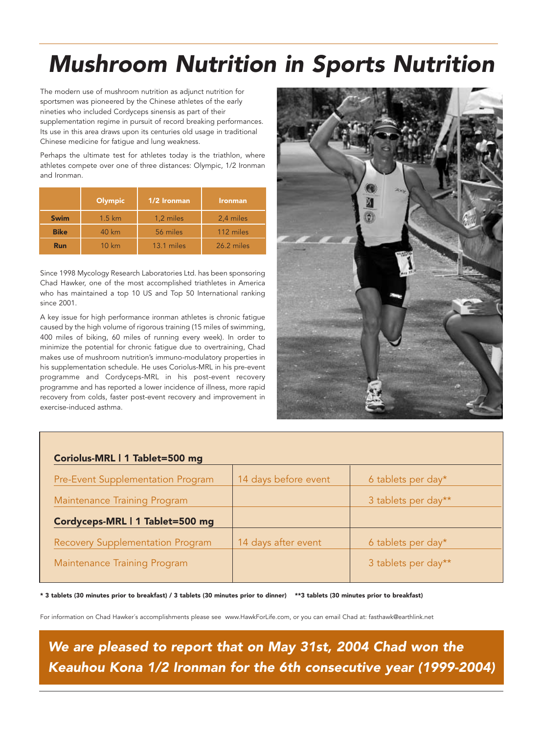## *Mushroom Nutrition in Sports Nutrition*

The modern use of mushroom nutrition as adjunct nutrition for sportsmen was pioneered by the Chinese athletes of the early nineties who included Cordyceps sinensis as part of their supplementation regime in pursuit of record breaking performances. Its use in this area draws upon its centuries old usage in traditional Chinese medicine for fatigue and lung weakness.

Perhaps the ultimate test for athletes today is the triathlon, where athletes compete over one of three distances: Olympic, 1/2 Ironman and Ironman.

|             | <b>Olympic</b>    | 1/2 Ironman | <b>Ironman</b> |
|-------------|-------------------|-------------|----------------|
| <b>Swim</b> | $1.5 \mathrm{km}$ | 1,2 miles   | 2,4 miles      |
| <b>Bike</b> | 40 km             | 56 miles    | 112 miles      |
| <b>Run</b>  | 10 km             | 13.1 miles  | 26.2 miles     |

Since 1998 Mycology Research Laboratories Ltd. has been sponsoring Chad Hawker, one of the most accomplished triathletes in America who has maintained a top 10 US and Top 50 International ranking since 2001.

A key issue for high performance ironman athletes is chronic fatigue caused by the high volume of rigorous training (15 miles of swimming, 400 miles of biking, 60 miles of running every week). In order to minimize the potential for chronic fatigue due to overtraining, Chad makes use of mushroom nutrition's immuno-modulatory properties in his supplementation schedule. He uses Coriolus-MRL in his pre-event programme and Cordyceps-MRL in his post-event recovery programme and has reported a lower incidence of illness, more rapid recovery from colds, faster post-event recovery and improvement in exercise-induced asthma.



| Coriolus-MRL   1 Tablet=500 mg          |                      |                     |
|-----------------------------------------|----------------------|---------------------|
| Pre-Event Supplementation Program       | 14 days before event | 6 tablets per day*  |
| Maintenance Training Program            |                      | 3 tablets per day** |
| Cordyceps-MRL   1 Tablet=500 mg         |                      |                     |
| <b>Recovery Supplementation Program</b> | 14 days after event  | 6 tablets per day*  |
| Maintenance Training Program            |                      | 3 tablets per day** |

\* 3 tablets (30 minutes prior to breakfast) / 3 tablets (30 minutes prior to dinner) \*\*3 tablets (30 minutes prior to breakfast)

For information on Chad Hawker´s accomplishments please see www.HawkForLife.com, or you can email Chad at: fasthawk@earthlink.net

*We are pleased to report that on May 31st, 2004 Chad won the Keauhou Kona 1/2 Ironman for the 6th consecutive year (1999-2004)*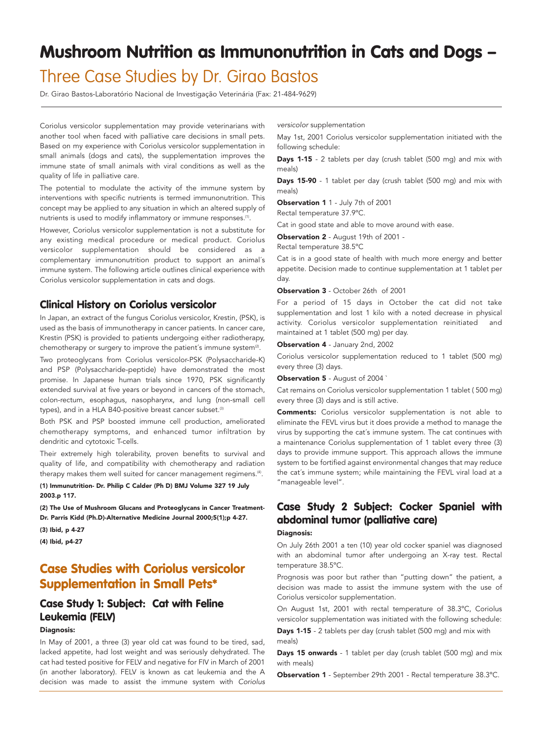## **Mushroom Nutrition as Immunonutrition in Cats and Dogs –**

## Three Case Studies by Dr. Girao Bastos

Dr. Girao Bastos-Laboratório Nacional de Investigação Veterinária (Fax: 21-484-9629)

Coriolus versicolor supplementation may provide veterinarians with another tool when faced with palliative care decisions in small pets. Based on my experience with Coriolus versicolor supplementation in small animals (dogs and cats), the supplementation improves the immune state of small animals with viral conditions as well as the quality of life in palliative care.

The potential to modulate the activity of the immune system by interventions with specific nutrients is termed immunonutrition. This concept may be applied to any situation in which an altered supply of nutrients is used to modify inflammatory or immune responses.<sup>(1)</sup>.

However, Coriolus versicolor supplementation is not a substitute for any existing medical procedure or medical product. Coriolus versicolor supplementation should be considered as a complementary immunonutrition product to support an animal´s immune system. The following article outlines clinical experience with Coriolus versicolor supplementation in cats and dogs.

### **Clinical History on Coriolus versicolor**

In Japan, an extract of the fungus Coriolus versicolor, Krestin, (PSK), is used as the basis of immunotherapy in cancer patients. In cancer care, Krestin (PSK) is provided to patients undergoing either radiotherapy, chemotherapy or surgery to improve the patient's immune system<sup>(2)</sup>.

Two proteoglycans from Coriolus versicolor-PSK (Polysaccharide-K) and PSP (Polysaccharide-peptide) have demonstrated the most promise. In Japanese human trials since 1970, PSK significantly extended survival at five years or beyond in cancers of the stomach, colon-rectum, esophagus, nasopharynx, and lung (non-small cell types), and in a HLA B40-positive breast cancer subset.<sup>(3)</sup>

Both PSK and PSP boosted immune cell production, ameliorated chemotherapy symptoms, and enhanced tumor infiltration by dendritic and cytotoxic T-cells.

Their extremely high tolerability, proven benefits to survival and quality of life, and compatibility with chemotherapy and radiation therapy makes them well suited for cancer management regimens.<sup>(4)</sup>.

#### (1) Immunutrition- Dr. Philip C Calder (Ph D) BMJ Volume 327 19 July 2003.p 117.

(2) The Use of Mushroom Glucans and Proteoglycans in Cancer Treatment-Dr. Parris Kidd (Ph.D)-Alternative Medicine Journal 2000;5(1);p 4-27.

(3) Ibid, p 4-27

(4) Ibid, p4-27

## **Case Studies with Coriolus versicolor Supplementation in Small Pets\***

## **Case Study 1: Subject: Cat with Feline Leukemia (FELV)**

#### Diagnosis:

In May of 2001, a three (3) year old cat was found to be tired, sad, lacked appetite, had lost weight and was seriously dehydrated. The cat had tested positive for FELV and negative for FIV in March of 2001 (in another laboratory). FELV is known as cat leukemia and the A decision was made to assist the immune system with *Coriolus*

*versicolor* supplementation

May 1st, 2001 Coriolus versicolor supplementation initiated with the following schedule:

Days 1-15 - 2 tablets per day (crush tablet (500 mg) and mix with meals)

Days 15-90 - 1 tablet per day (crush tablet (500 mg) and mix with meals)

Observation 1 1 - July 7th of 2001 Rectal temperature 37.9ºC.

Cat in good state and able to move around with ease.

Observation 2 - August 19th of 2001 -

Rectal temperature 38.5ºC

Cat is in a good state of health with much more energy and better appetite. Decision made to continue supplementation at 1 tablet per day.

#### Observation 3 - October 26th of 2001

For a period of 15 days in October the cat did not take supplementation and lost 1 kilo with a noted decrease in physical activity. Coriolus versicolor supplementation reinitiated and maintained at 1 tablet (500 mg) per day.

Observation 4 - January 2nd, 2002

Coriolus versicolor supplementation reduced to 1 tablet (500 mg) every three (3) days.

**Observation 5** - August of 2004 `

Cat remains on Coriolus versicolor supplementation 1 tablet ( 500 mg) every three (3) days and is still active.

**Comments:** Coriolus versicolor supplementation is not able to eliminate the FEVL virus but it does provide a method to manage the virus by supporting the cat´s immune system. The cat continues with a maintenance Coriolus supplementation of 1 tablet every three (3) days to provide immune support. This approach allows the immune system to be fortified against environmental changes that may reduce the cat´s immune system; while maintaining the FEVL viral load at a "manageable level".

## **Case Study 2 Subject: Cocker Spaniel with abdominal tumor (palliative care)**

#### Diagnosis:

On July 26th 2001 a ten (10) year old cocker spaniel was diagnosed with an abdominal tumor after undergoing an X-ray test. Rectal temperature 38.5ºC.

Prognosis was poor but rather than "putting down" the patient, a decision was made to assist the immune system with the use of Coriolus versicolor supplementation.

On August 1st, 2001 with rectal temperature of 38.3ºC, Coriolus versicolor supplementation was initiated with the following schedule:

Days 1-15 - 2 tablets per day (crush tablet (500 mg) and mix with meals)

Days 15 onwards - 1 tablet per day (crush tablet (500 mg) and mix with meals)

Observation 1 - September 29th 2001 - Rectal temperature 38.3°C.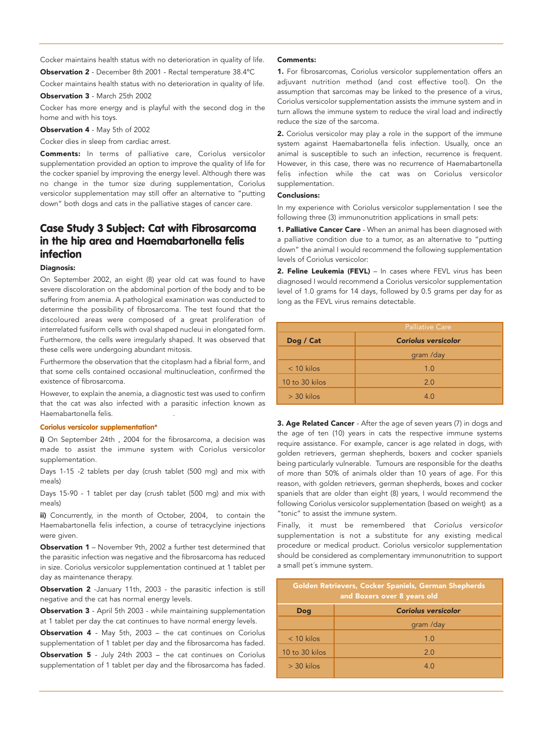Cocker maintains health status with no deterioration in quality of life.

Observation 2 - December 8th 2001 - Rectal temperature 38.4ºC

Cocker maintains health status with no deterioration in quality of life.

Observation 3 - March 25th 2002

Cocker has more energy and is playful with the second dog in the home and with his toys.

Observation 4 - May 5th of 2002

Cocker dies in sleep from cardiac arrest.

Comments: In terms of palliative care, Coriolus versicolor supplementation provided an option to improve the quality of life for the cocker spaniel by improving the energy level. Although there was no change in the tumor size during supplementation, Coriolus versicolor supplementation may still offer an alternative to "putting down" both dogs and cats in the palliative stages of cancer care.

## **Case Study 3 Subject: Cat with Fibrosarcoma in the hip area and Haemabartonella felis infection**

#### Diagnosis:

On September 2002, an eight (8) year old cat was found to have severe discoloration on the abdominal portion of the body and to be suffering from anemia. A pathological examination was conducted to determine the possibility of fibrosarcoma. The test found that the discoloured areas were composed of a great proliferation of interrelated fusiform cells with oval shaped nucleui in elongated form. Furthermore, the cells were irregularly shaped. It was observed that these cells were undergoing abundant mitosis.

Furthermore the observation that the citoplasm had a fibrial form, and that some cells contained occasional multinucleation, confirmed the existence of fibrosarcoma.

However, to explain the anemia, a diagnostic test was used to confirm that the cat was also infected with a parasitic infection known as Haemabartonella felis. .

#### **Coriolus versicolor supplementation\***

i) On September 24th, 2004 for the fibrosarcoma, a decision was made to assist the immune system with Coriolus versicolor supplementation.

Days 1-15 -2 tablets per day (crush tablet (500 mg) and mix with meals)

Days 15-90 - 1 tablet per day (crush tablet (500 mg) and mix with meals)

ii) Concurrently, in the month of October, 2004, to contain the Haemabartonella felis infection, a course of tetracyclyine injections were given.

Observation 1 – November 9th, 2002 a further test determined that the parasitic infection was negative and the fibrosarcoma has reduced in size. Coriolus versicolor supplementation continued at 1 tablet per day as maintenance therapy.

Observation 2 -January 11th, 2003 - the parasitic infection is still negative and the cat has normal energy levels.

Observation 3 - April 5th 2003 - while maintaining supplementation at 1 tablet per day the cat continues to have normal energy levels.

**Observation 4** - May 5th, 2003 – the cat continues on Coriolus supplementation of 1 tablet per day and the fibrosarcoma has faded.

Observation 5 - July 24th 2003 – the cat continues on Coriolus supplementation of 1 tablet per day and the fibrosarcoma has faded.

#### Comments:

1. For fibrosarcomas, Coriolus versicolor supplementation offers an adjuvant nutrition method (and cost effective tool). On the assumption that sarcomas may be linked to the presence of a virus, Coriolus versicolor supplementation assists the immune system and in turn allows the immune system to reduce the viral load and indirectly reduce the size of the sarcoma.

2. Coriolus versicolor may play a role in the support of the immune system against Haemabartonella felis infection. Usually, once an animal is susceptible to such an infection, recurrence is frequent. However, in this case, there was no recurrence of Haemabartonella felis infection while the cat was on Coriolus versicolor supplementation.

#### Conclusions:

In my experience with Coriolus versicolor supplementation I see the following three (3) immunonutrition applications in small pets:

1. Palliative Cancer Care - When an animal has been diagnosed with a palliative condition due to a tumor, as an alternative to "putting down" the animal I would recommend the following supplementation levels of Coriolus versicolor:

2. Feline Leukemia (FEVL) - In cases where FEVL virus has been diagnosed I would recommend a Coriolus versicolor supplementation level of 1.0 grams for 14 days, followed by 0.5 grams per day for as long as the FEVL virus remains detectable.

| <b>Palliative Care</b> |                            |  |  |  |
|------------------------|----------------------------|--|--|--|
| Dog / Cat              | <b>Coriolus versicolor</b> |  |  |  |
|                        | gram /day                  |  |  |  |
| $<$ 10 kilos           | 1.0                        |  |  |  |
| 10 to 30 kilos         | 2.0                        |  |  |  |
| $>$ 30 kilos           | 4.0                        |  |  |  |

**3. Age Related Cancer** - After the age of seven years (7) in dogs and the age of ten (10) years in cats the respective immune systems require assistance. For example, cancer is age related in dogs, with golden retrievers, german shepherds, boxers and cocker spaniels being particularly vulnerable. Tumours are responsible for the deaths of more than 50% of animals older than 10 years of age. For this reason, with golden retrievers, german shepherds, boxes and cocker spaniels that are older than eight (8) years, I would recommend the following Coriolus versicolor supplementation (based on weight) as a "tonic" to assist the immune system.

Finally, it must be remembered that *Coriolus versicolor* supplementation is not a substitute for any existing medical procedure or medical product. Coriolus versicolor supplementation should be considered as complementary immunonutrition to support a small pet´s immune system.

| Golden Retrievers, Cocker Spaniels, German Shepherds<br>and Boxers over 8 years old |                            |
|-------------------------------------------------------------------------------------|----------------------------|
| Dog                                                                                 | <b>Coriolus versicolor</b> |
|                                                                                     | gram /day                  |
| $<$ 10 kilos                                                                        | 1.0                        |
| 10 to 30 kilos                                                                      | 2.0                        |
| $>$ 30 kilos                                                                        | 4.0                        |